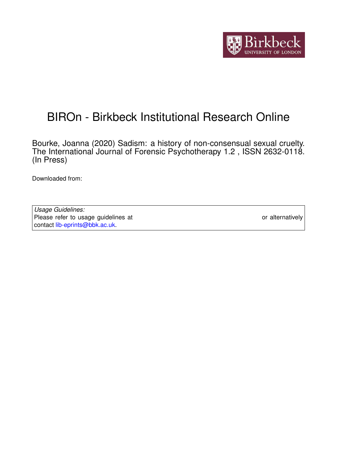

# BIROn - Birkbeck Institutional Research Online

Bourke, Joanna (2020) Sadism: a history of non-consensual sexual cruelty. The International Journal of Forensic Psychotherapy 1.2 , ISSN 2632-0118. (In Press)

Downloaded from: <https://eprints.bbk.ac.uk/id/eprint/31609/>

*Usage Guidelines:* Please refer to usage guidelines at <https://eprints.bbk.ac.uk/policies.html> or alternatively contact [lib-eprints@bbk.ac.uk.](mailto:lib-eprints@bbk.ac.uk)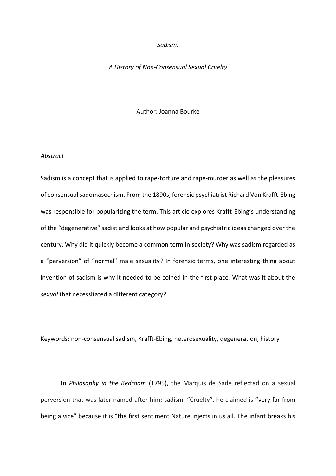## *Sadism:*

## *A History of Non-Consensual Sexual Cruelty*

#### Author: Joanna Bourke

### *Abstract*

Sadism is a concept that is applied to rape-torture and rape-murder as well as the pleasures of consensual sadomasochism. From the 1890s, forensic psychiatrist Richard Von Krafft-Ebing was responsible for popularizing the term. This article explores Krafft-Ebing's understanding of the "degenerative" sadist and looks at how popular and psychiatric ideas changed over the century. Why did it quickly become a common term in society? Why was sadism regarded as a "perversion" of "normal" male sexuality? In forensic terms, one interesting thing about invention of sadism is why it needed to be coined in the first place. What was it about the *sexual* that necessitated a different category?

Keywords: non-consensual sadism, Krafft-Ebing, heterosexuality, degeneration, history

In *Philosophy in the Bedroom* (1795), the Marquis de Sade reflected on a sexual perversion that was later named after him: sadism. "Cruelty", he claimed is "very far from being a vice" because it is "the first sentiment Nature injects in us all. The infant breaks his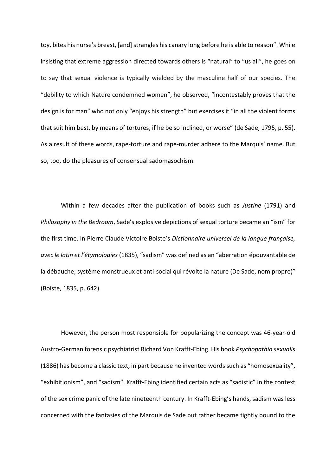toy, bites his nurse's breast, [and] strangles his canary long before he is able to reason". While insisting that extreme aggression directed towards others is "natural" to "us all", he goes on to say that sexual violence is typically wielded by the masculine half of our species. The "debility to which Nature condemned women", he observed, "incontestably proves that the design is for man" who not only "enjoys his strength" but exercises it "in all the violent forms that suit him best, by means of tortures, if he be so inclined, or worse" (de Sade, 1795, p. 55). As a result of these words, rape-torture and rape-murder adhere to the Marquis' name. But so, too, do the pleasures of consensual sadomasochism.

Within a few decades after the publication of books such as *Justine* (1791) and *Philosophy in the Bedroom*, Sade's explosive depictions of sexual torture became an "ism" for the first time. In Pierre Claude Victoire Boiste's *Dictionnaire universel de la langue française, avec le latin et l'étymologies* (1835), "sadism" was defined as an "aberration épouvantable de la débauche; système monstrueux et anti-social qui révolte la nature (De Sade, nom propre)" (Boiste, 1835, p. 642).

However, the person most responsible for popularizing the concept was 46-year-old Austro-German forensic psychiatrist Richard Von Krafft-Ebing. His book *Psychopathia sexualis* (1886) has become a classic text, in part because he invented words such as "homosexuality", "exhibitionism", and "sadism". Krafft-Ebing identified certain acts as "sadistic" in the context of the sex crime panic of the late nineteenth century. In Krafft-Ebing's hands, sadism was less concerned with the fantasies of the Marquis de Sade but rather became tightly bound to the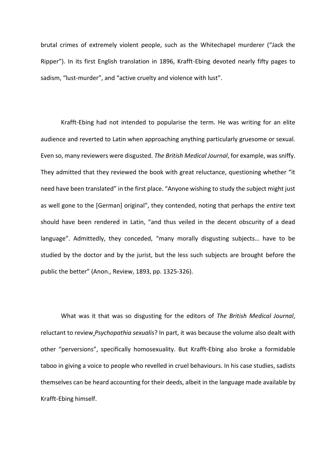brutal crimes of extremely violent people, such as the Whitechapel murderer ("Jack the Ripper"). In its first English translation in 1896, Krafft-Ebing devoted nearly fifty pages to sadism, "lust-murder", and "active cruelty and violence with lust".

Krafft-Ebing had not intended to popularise the term. He was writing for an elite audience and reverted to Latin when approaching anything particularly gruesome or sexual. Even so, many reviewers were disgusted. *The British Medical Journal*, for example, was sniffy. They admitted that they reviewed the book with great reluctance, questioning whether "it need have been translated" in the first place. "Anyone wishing to study the subject might just as well gone to the [German] original", they contended, noting that perhaps the *entire* text should have been rendered in Latin, "and thus veiled in the decent obscurity of a dead language". Admittedly, they conceded, "many morally disgusting subjects… have to be studied by the doctor and by the jurist, but the less such subjects are brought before the public the better" (Anon., Review, 1893, pp. 1325-326).

What was it that was so disgusting for the editors of *The British Medical Journal*, reluctant to review *Psychopathia sexualis*? In part, it was because the volume also dealt with other "perversions", specifically homosexuality. But Krafft-Ebing also broke a formidable taboo in giving a voice to people who revelled in cruel behaviours. In his case studies, sadists themselves can be heard accounting for their deeds, albeit in the language made available by Krafft-Ebing himself.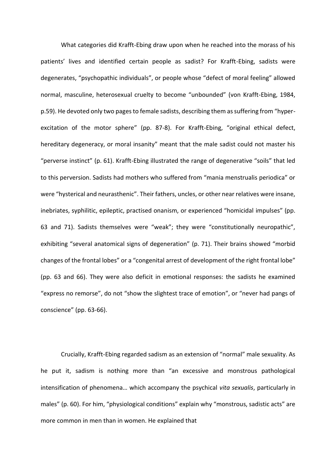What categories did Krafft-Ebing draw upon when he reached into the morass of his patients' lives and identified certain people as sadist? For Krafft-Ebing, sadists were degenerates, "psychopathic individuals", or people whose "defect of moral feeling" allowed normal, masculine, heterosexual cruelty to become "unbounded" (von Krafft-Ebing, 1984, p.59). He devoted only two pages to female sadists, describing them as suffering from "hyperexcitation of the motor sphere" (pp. 87-8). For Krafft-Ebing, "original ethical defect, hereditary degeneracy, or moral insanity" meant that the male sadist could not master his "perverse instinct" (p. 61). Krafft-Ebing illustrated the range of degenerative "soils" that led to this perversion. Sadists had mothers who suffered from "mania menstrualis periodica" or were "hysterical and neurasthenic". Their fathers, uncles, or other near relatives were insane, inebriates, syphilitic, epileptic, practised onanism, or experienced "homicidal impulses" (pp. 63 and 71). Sadists themselves were "weak"; they were "constitutionally neuropathic", exhibiting "several anatomical signs of degeneration" (p. 71). Their brains showed "morbid changes of the frontal lobes" or a "congenital arrest of development of the right frontal lobe" (pp. 63 and 66). They were also deficit in emotional responses: the sadists he examined "express no remorse", do not "show the slightest trace of emotion", or "never had pangs of conscience" (pp. 63-66).

Crucially, Krafft-Ebing regarded sadism as an extension of "normal" male sexuality. As he put it, sadism is nothing more than "an excessive and monstrous pathological intensification of phenomena… which accompany the psychical *vita sexualis*, particularly in males" (p. 60). For him, "physiological conditions" explain why "monstrous, sadistic acts" are more common in men than in women. He explained that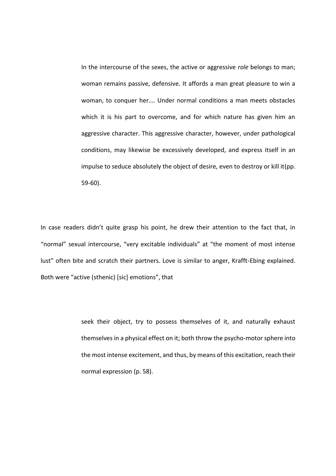In the intercourse of the sexes, the active or aggressive *role* belongs to man; woman remains passive, defensive. It affords a man great pleasure to win a woman, to conquer her…. Under normal conditions a man meets obstacles which it is his part to overcome, and for which nature has given him an aggressive character. This aggressive character, however, under pathological conditions, may likewise be excessively developed, and express itself in an impulse to seduce absolutely the object of desire, even to destroy or kill it(pp. 59-60).

In case readers didn't quite grasp his point, he drew their attention to the fact that, in "normal" sexual intercourse, "very excitable individuals" at "the moment of most intense lust" often bite and scratch their partners. Love is similar to anger, Krafft-Ebing explained. Both were "active (sthenic) [sic] emotions", that

> seek their object, try to possess themselves of it, and naturally exhaust themselves in a physical effect on it; both throw the psycho-motor sphere into the most intense excitement, and thus, by means of this excitation, reach their normal expression (p. 58).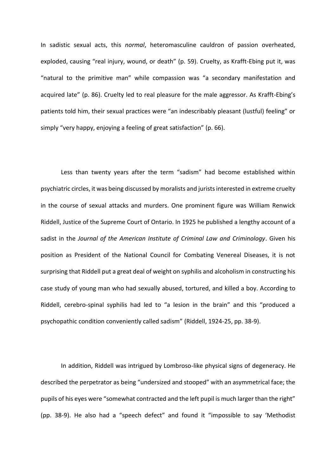In sadistic sexual acts, this *normal*, heteromasculine cauldron of passion overheated, exploded, causing "real injury, wound, or death" (p. 59). Cruelty, as Krafft-Ebing put it, was "natural to the primitive man" while compassion was "a secondary manifestation and acquired late" (p. 86). Cruelty led to real pleasure for the male aggressor. As Krafft-Ebing's patients told him, their sexual practices were "an indescribably pleasant (lustful) feeling" or simply "very happy, enjoying a feeling of great satisfaction" (p. 66).

Less than twenty years after the term "sadism" had become established within psychiatric circles, it was being discussed by moralists and jurists interested in extreme cruelty in the course of sexual attacks and murders. One prominent figure was William Renwick Riddell, Justice of the Supreme Court of Ontario. In 1925 he published a lengthy account of a sadist in the *Journal of the American Institute of Criminal Law and Criminology*. Given his position as President of the National Council for Combating Venereal Diseases, it is not surprising that Riddell put a great deal of weight on syphilis and alcoholism in constructing his case study of young man who had sexually abused, tortured, and killed a boy. According to Riddell, cerebro-spinal syphilis had led to "a lesion in the brain" and this "produced a psychopathic condition conveniently called sadism" (Riddell, 1924-25, pp. 38-9).

In addition, Riddell was intrigued by Lombroso-like physical signs of degeneracy. He described the perpetrator as being "undersized and stooped" with an asymmetrical face; the pupils of his eyes were "somewhat contracted and the left pupil is much larger than the right" (pp. 38-9). He also had a "speech defect" and found it "impossible to say 'Methodist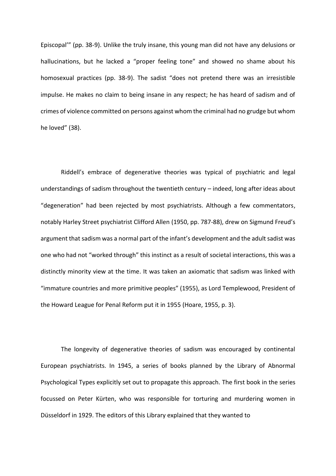Episcopal'" (pp. 38-9). Unlike the truly insane, this young man did not have any delusions or hallucinations, but he lacked a "proper feeling tone" and showed no shame about his homosexual practices (pp. 38-9). The sadist "does not pretend there was an irresistible impulse. He makes no claim to being insane in any respect; he has heard of sadism and of crimes of violence committed on persons against whom the criminal had no grudge but whom he loved" (38).

Riddell's embrace of degenerative theories was typical of psychiatric and legal understandings of sadism throughout the twentieth century – indeed, long after ideas about "degeneration" had been rejected by most psychiatrists. Although a few commentators, notably Harley Street psychiatrist Clifford Allen (1950, pp. 787-88), drew on Sigmund Freud's argument that sadism was a normal part of the infant's development and the adult sadist was one who had not "worked through" this instinct as a result of societal interactions, this was a distinctly minority view at the time. It was taken an axiomatic that sadism was linked with "immature countries and more primitive peoples" (1955), as Lord Templewood, President of the Howard League for Penal Reform put it in 1955 (Hoare, 1955, p. 3).

The longevity of degenerative theories of sadism was encouraged by continental European psychiatrists. In 1945, a series of books planned by the Library of Abnormal Psychological Types explicitly set out to propagate this approach. The first book in the series focussed on Peter Kürten, who was responsible for torturing and murdering women in Düsseldorf in 1929. The editors of this Library explained that they wanted to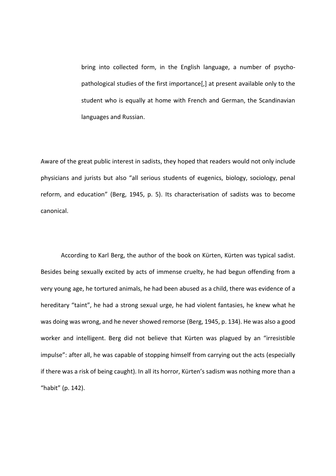bring into collected form, in the English language, a number of psychopathological studies of the first importance[,] at present available only to the student who is equally at home with French and German, the Scandinavian languages and Russian.

Aware of the great public interest in sadists, they hoped that readers would not only include physicians and jurists but also "all serious students of eugenics, biology, sociology, penal reform, and education" (Berg, 1945, p. 5). Its characterisation of sadists was to become canonical.

According to Karl Berg, the author of the book on Kürten, Kürten was typical sadist. Besides being sexually excited by acts of immense cruelty, he had begun offending from a very young age, he tortured animals, he had been abused as a child, there was evidence of a hereditary "taint", he had a strong sexual urge, he had violent fantasies, he knew what he was doing was wrong, and he never showed remorse (Berg, 1945, p. 134). He was also a good worker and intelligent. Berg did not believe that Kürten was plagued by an "irresistible impulse": after all, he was capable of stopping himself from carrying out the acts (especially if there was a risk of being caught). In all its horror, Kürten's sadism was nothing more than a "habit" (p. 142).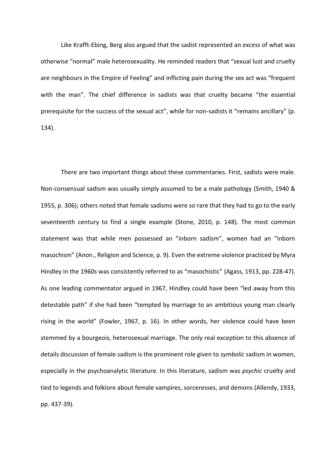Like Krafft-Ebing, Berg also argued that the sadist represented an *excess* of what was otherwise "normal" male heterosexuality. He reminded readers that "sexual lust and cruelty are neighbours in the Empire of Feeling" and inflicting pain during the sex act was "frequent with the man". The chief difference in sadists was that cruelty became "the essential prerequisite for the success of the sexual act", while for non-sadists it "remains ancillary" (p. 134).

There are two important things about these commentaries. First, sadists were male. Non-consensual sadism was usually simply assumed to be a male pathology (Smith, 1940 & 1955, p. 306); others noted that female sadisms were so rare that they had to go to the early seventeenth century to find a single example (Stone, 2010, p. 148). The most common statement was that while men possessed an "inborn sadism", women had an "inborn masochism" (Anon., Religion and Science, p. 9). Even the extreme violence practiced by Myra Hindley in the 1960s was consistently referred to as "masochistic" (Agass, 1913, pp. 228-47). As one leading commentator argued in 1967, Hindley could have been "led away from this detestable path" if she had been "tempted by marriage to an ambitious young man clearly rising in the world" (Fowler, 1967, p. 16). In other words, her violence could have been stemmed by a bourgeois, heterosexual marriage. The only real exception to this absence of details discussion of female sadism is the prominent role given to *symbolic* sadism in women, especially in the psychoanalytic literature. In this literature, sadism was *psychic* cruelty and tied to legends and folklore about female vampires, sorceresses, and demons (Allendy, 1933, pp. 437-39).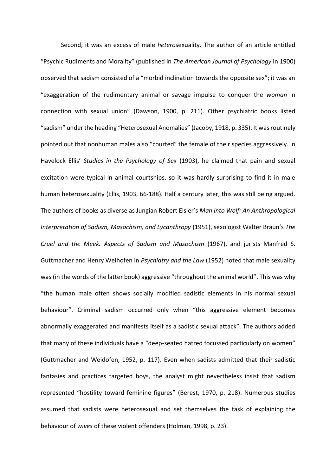Second, it was an excess of male *hetero*sexuality. The author of an article entitled "Psychic Rudiments and Morality" (published in *The American Journal of Psychology* in 1900) observed that sadism consisted of a "morbid inclination towards the opposite sex"; it was an "exaggeration of the rudimentary animal or savage impulse to conquer the *woman* in connection with sexual union" (Dawson, 1900, p. 211). Other psychiatric books listed "sadism" under the heading "Heterosexual Anomalies" (Jacoby, 1918, p. 335). It was routinely pointed out that nonhuman males also "courted" the female of their species aggressively. In Havelock Ellis' *Studies in the Psychology of Sex* (1903), he claimed that pain and sexual excitation were typical in animal courtships, so it was hardly surprising to find it in male human heterosexuality (Ellis, 1903, 66-188). Half a century later, this was still being argued. The authors of books as diverse as Jungian Robert Eisler's *Man Into Wolf: An Anthropological Interpretation of Sadism, Masochism, and Lycanthropy* (1951), sexologist Walter Braun's *The Cruel and the Meek. Aspects of Sadism and Masochism* (1967), and jurists Manfred S. Guttmacher and Henry Weihofen in *Psychiatry and the Law* (1952) noted that male sexuality was (in the words of the latter book) aggressive "throughout the animal world". This was why "the human male often shows socially modified sadistic elements in his normal sexual behaviour". Criminal sadism occurred only when "this aggressive element becomes abnormally exaggerated and manifests itself as a sadistic sexual attack". The authors added that many of these individuals have a "deep-seated hatred focussed particularly on women" (Guttmacher and Weidofen, 1952, p. 117). Even when sadists admitted that their sadistic fantasies and practices targeted boys, the analyst might nevertheless insist that sadism represented "hostility toward feminine figures" (Berest, 1970, p. 218). Numerous studies assumed that sadists were heterosexual and set themselves the task of explaining the behaviour of *wives* of these violent offenders (Holman, 1998, p. 23).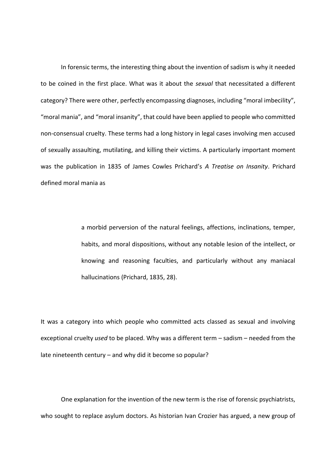In forensic terms, the interesting thing about the invention of sadism is why it needed to be coined in the first place. What was it about the *sexual* that necessitated a different category? There were other, perfectly encompassing diagnoses, including "moral imbecility", "moral mania", and "moral insanity", that could have been applied to people who committed non-consensual cruelty. These terms had a long history in legal cases involving men accused of sexually assaulting, mutilating, and killing their victims. A particularly important moment was the publication in 1835 of James Cowles Prichard's *A Treatise on Insanity*. Prichard defined moral mania as

> a morbid perversion of the natural feelings, affections, inclinations, temper, habits, and moral dispositions, without any notable lesion of the intellect, or knowing and reasoning faculties, and particularly without any maniacal hallucinations (Prichard, 1835, 28).

It was a category into which people who committed acts classed as sexual and involving exceptional cruelty *used* to be placed. Why was a different term – sadism – needed from the late nineteenth century – and why did it become so popular?

One explanation for the invention of the new term is the rise of forensic psychiatrists, who sought to replace asylum doctors. As historian Ivan Crozier has argued, a new group of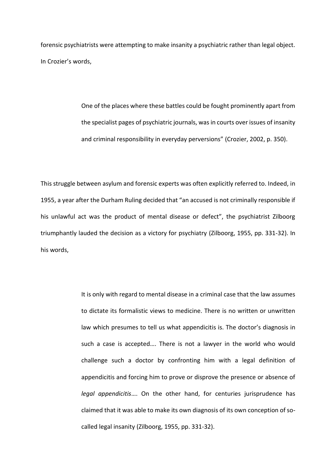forensic psychiatrists were attempting to make insanity a psychiatric rather than legal object. In Crozier's words,

> One of the places where these battles could be fought prominently apart from the specialist pages of psychiatric journals, was in courts over issues of insanity and criminal responsibility in everyday perversions" (Crozier, 2002, p. 350).

This struggle between asylum and forensic experts was often explicitly referred to. Indeed, in 1955, a year after the Durham Ruling decided that "an accused is not criminally responsible if his unlawful act was the product of mental disease or defect", the psychiatrist Zilboorg triumphantly lauded the decision as a victory for psychiatry (Zilboorg, 1955, pp. 331-32). In his words,

> It is only with regard to mental disease in a criminal case that the law assumes to dictate its formalistic views to medicine. There is no written or unwritten law which presumes to tell us what appendicitis is. The doctor's diagnosis in such a case is accepted…. There is not a lawyer in the world who would challenge such a doctor by confronting him with a legal definition of appendicitis and forcing him to prove or disprove the presence or absence of *legal appendicitis*…. On the other hand, for centuries jurisprudence has claimed that it was able to make its own diagnosis of its own conception of socalled legal insanity (Zilboorg, 1955, pp. 331-32).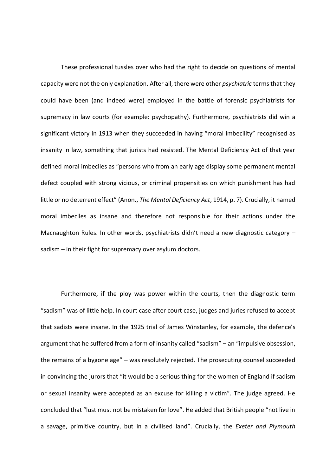These professional tussles over who had the right to decide on questions of mental capacity were not the only explanation. After all, there were other *psychiatric* terms that they could have been (and indeed were) employed in the battle of forensic psychiatrists for supremacy in law courts (for example: psychopathy). Furthermore, psychiatrists did win a significant victory in 1913 when they succeeded in having "moral imbecility" recognised as insanity in law, something that jurists had resisted. The Mental Deficiency Act of that year defined moral imbeciles as "persons who from an early age display some permanent mental defect coupled with strong vicious, or criminal propensities on which punishment has had little or no deterrent effect" (Anon., *The Mental Deficiency Act*, 1914, p. 7). Crucially, it named moral imbeciles as insane and therefore not responsible for their actions under the Macnaughton Rules. In other words, psychiatrists didn't need a new diagnostic category – sadism – in their fight for supremacy over asylum doctors.

Furthermore, if the ploy was power within the courts, then the diagnostic term "sadism" was of little help. In court case after court case, judges and juries refused to accept that sadists were insane. In the 1925 trial of James Winstanley, for example, the defence's argument that he suffered from a form of insanity called "sadism" – an "impulsive obsession, the remains of a bygone age" – was resolutely rejected. The prosecuting counsel succeeded in convincing the jurors that "it would be a serious thing for the women of England if sadism or sexual insanity were accepted as an excuse for killing a victim". The judge agreed. He concluded that "lust must not be mistaken for love". He added that British people "not live in a savage, primitive country, but in a civilised land". Crucially, the *Exeter and Plymouth*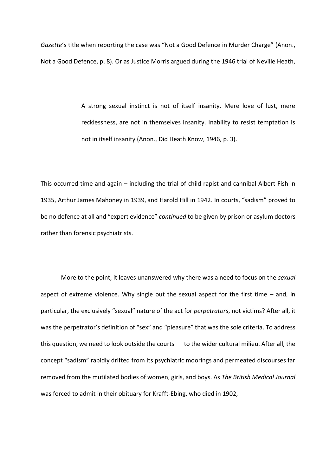*Gazette*'s title when reporting the case was "Not a Good Defence in Murder Charge" (Anon., Not a Good Defence, p. 8). Or as Justice Morris argued during the 1946 trial of Neville Heath,

> A strong sexual instinct is not of itself insanity. Mere love of lust, mere recklessness, are not in themselves insanity. Inability to resist temptation is not in itself insanity (Anon., Did Heath Know, 1946, p. 3).

This occurred time and again – including the trial of child rapist and cannibal Albert Fish in 1935, Arthur James Mahoney in 1939, and Harold Hill in 1942. In courts, "sadism" proved to be no defence at all and "expert evidence" *continued* to be given by prison or asylum doctors rather than forensic psychiatrists.

More to the point, it leaves unanswered why there was a need to focus on the *sexual*  aspect of extreme violence. Why single out the sexual aspect for the first time  $-$  and, in particular, the exclusively "sexual" nature of the act for *perpetrators*, not victims? After all, it was the perpetrator's definition of "sex" and "pleasure" that was the sole criteria. To address this question, we need to look outside the courts — to the wider cultural milieu. After all, the concept "sadism" rapidly drifted from its psychiatric moorings and permeated discourses far removed from the mutilated bodies of women, girls, and boys. As *The British Medical Journal* was forced to admit in their obituary for Krafft-Ebing, who died in 1902,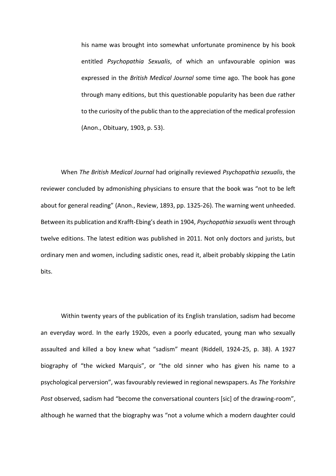his name was brought into somewhat unfortunate prominence by his book entitled *Psychopathia Sexualis*, of which an unfavourable opinion was expressed in the *British Medical Journal* some time ago. The book has gone through many editions, but this questionable popularity has been due rather to the curiosity of the public than to the appreciation of the medical profession (Anon., Obituary, 1903, p. 53).

When *The British Medical Journal* had originally reviewed *Psychopathia sexualis*, the reviewer concluded by admonishing physicians to ensure that the book was "not to be left about for general reading" (Anon., Review, 1893, pp. 1325-26). The warning went unheeded. Between its publication and Krafft-Ebing's death in 1904, *Psychopathia sexualis* went through twelve editions. The latest edition was published in 2011. Not only doctors and jurists, but ordinary men and women, including sadistic ones, read it, albeit probably skipping the Latin bits.

Within twenty years of the publication of its English translation, sadism had become an everyday word. In the early 1920s, even a poorly educated, young man who sexually assaulted and killed a boy knew what "sadism" meant (Riddell, 1924-25, p. 38). A 1927 biography of "the wicked Marquis", or "the old sinner who has given his name to a psychological perversion", was favourably reviewed in regional newspapers. As *The Yorkshire Post* observed, sadism had "become the conversational counters [sic] of the drawing-room", although he warned that the biography was "not a volume which a modern daughter could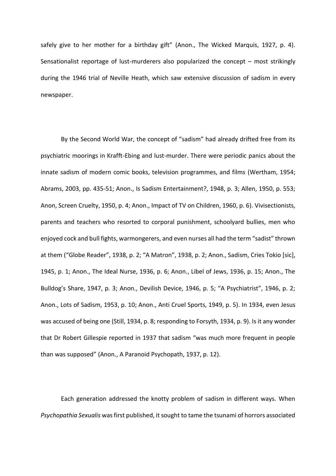safely give to her mother for a birthday gift" (Anon., The Wicked Marquis, 1927, p. 4). Sensationalist reportage of lust-murderers also popularized the concept – most strikingly during the 1946 trial of Neville Heath, which saw extensive discussion of sadism in every newspaper.

By the Second World War, the concept of "sadism" had already drifted free from its psychiatric moorings in Krafft-Ebing and lust-murder. There were periodic panics about the innate sadism of modern comic books, television programmes, and films (Wertham, 1954; Abrams, 2003, pp. 435-51; Anon., Is Sadism Entertainment?, 1948, p. 3; Allen, 1950, p. 553; Anon, Screen Cruelty, 1950, p. 4; Anon., Impact of TV on Children, 1960, p. 6). Vivisectionists, parents and teachers who resorted to corporal punishment, schoolyard bullies, men who enjoyed cock and bull fights, warmongerers, and even nurses all had the term "sadist" thrown at them ("Globe Reader", 1938, p. 2; "A Matron", 1938, p. 2; Anon., Sadism, Cries Tokio [sic], 1945, p. 1; Anon., The Ideal Nurse, 1936, p. 6; Anon., Libel of Jews, 1936, p. 15; Anon., The Bulldog's Share, 1947, p. 3; Anon., Devilish Device, 1946, p. 5; "A Psychiatrist", 1946, p. 2; Anon., Lots of Sadism, 1953, p. 10; Anon., Anti Cruel Sports, 1949, p. 5). In 1934, even Jesus was accused of being one (Still, 1934, p. 8; responding to Forsyth, 1934, p. 9). Is it any wonder that Dr Robert Gillespie reported in 1937 that sadism "was much more frequent in people than was supposed" (Anon., A Paranoid Psychopath, 1937, p. 12).

Each generation addressed the knotty problem of sadism in different ways. When *Psychopathia Sexualis* was first published, it sought to tame the tsunami of horrors associated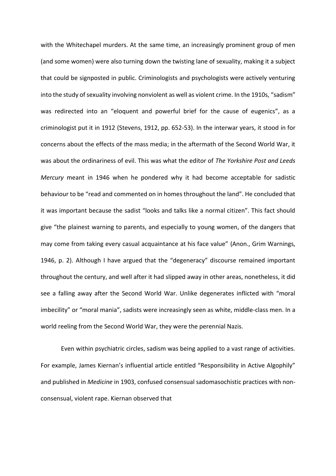with the Whitechapel murders. At the same time, an increasingly prominent group of men (and some women) were also turning down the twisting lane of sexuality, making it a subject that could be signposted in public. Criminologists and psychologists were actively venturing into the study of sexuality involving nonviolent as well as violent crime. In the 1910s, "sadism" was redirected into an "eloquent and powerful brief for the cause of eugenics", as a criminologist put it in 1912 (Stevens, 1912, pp. 652-53). In the interwar years, it stood in for concerns about the effects of the mass media; in the aftermath of the Second World War, it was about the ordinariness of evil. This was what the editor of *The Yorkshire Post and Leeds Mercury* meant in 1946 when he pondered why it had become acceptable for sadistic behaviour to be "read and commented on in homes throughout the land". He concluded that it was important because the sadist "looks and talks like a normal citizen". This fact should give "the plainest warning to parents, and especially to young women, of the dangers that may come from taking every casual acquaintance at his face value" (Anon., Grim Warnings, 1946, p. 2). Although I have argued that the "degeneracy" discourse remained important throughout the century, and well after it had slipped away in other areas, nonetheless, it did see a falling away after the Second World War. Unlike degenerates inflicted with "moral imbecility" or "moral mania", sadists were increasingly seen as white, middle-class men. In a world reeling from the Second World War, they were the perennial Nazis.

Even within psychiatric circles, sadism was being applied to a vast range of activities. For example, James Kiernan's influential article entitled "Responsibility in Active Algophily" and published in *Medicine* in 1903, confused consensual sadomasochistic practices with nonconsensual, violent rape. Kiernan observed that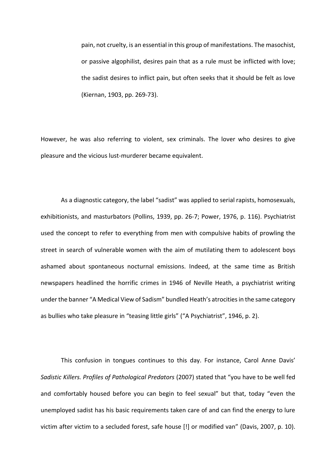pain, not cruelty, is an essential in this group of manifestations. The masochist, or passive algophilist, desires pain that as a rule must be inflicted with love; the sadist desires to inflict pain, but often seeks that it should be felt as love (Kiernan, 1903, pp. 269-73).

However, he was also referring to violent, sex criminals. The lover who desires to give pleasure and the vicious lust-murderer became equivalent.

As a diagnostic category, the label "sadist" was applied to serial rapists, homosexuals, exhibitionists, and masturbators (Pollins, 1939, pp. 26-7; Power, 1976, p. 116). Psychiatrist used the concept to refer to everything from men with compulsive habits of prowling the street in search of vulnerable women with the aim of mutilating them to adolescent boys ashamed about spontaneous nocturnal emissions. Indeed, at the same time as British newspapers headlined the horrific crimes in 1946 of Neville Heath, a psychiatrist writing under the banner "A Medical View of Sadism" bundled Heath's atrocities in the same category as bullies who take pleasure in "teasing little girls" ("A Psychiatrist", 1946, p. 2).

This confusion in tongues continues to this day. For instance, Carol Anne Davis' *Sadistic Killers. Profiles of Pathological Predators* (2007) stated that "you have to be well fed and comfortably housed before you can begin to feel sexual" but that, today "even the unemployed sadist has his basic requirements taken care of and can find the energy to lure victim after victim to a secluded forest, safe house [!] or modified van" (Davis, 2007, p. 10).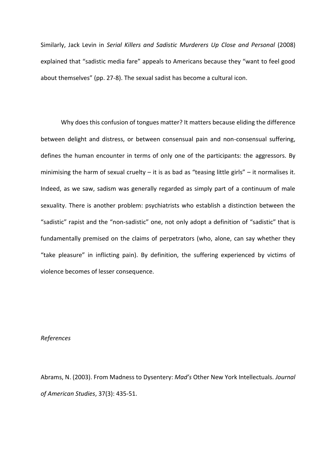Similarly, Jack Levin in *Serial Killers and Sadistic Murderers Up Close and Personal* (2008) explained that "sadistic media fare" appeals to Americans because they "want to feel good about themselves" (pp. 27-8). The sexual sadist has become a cultural icon.

Why does this confusion of tongues matter? It matters because eliding the difference between delight and distress, or between consensual pain and non-consensual suffering, defines the human encounter in terms of only one of the participants: the aggressors. By minimising the harm of sexual cruelty  $-$  it is as bad as "teasing little girls"  $-$  it normalises it. Indeed, as we saw, sadism was generally regarded as simply part of a continuum of male sexuality. There is another problem: psychiatrists who establish a distinction between the "sadistic" rapist and the "non-sadistic" one, not only adopt a definition of "sadistic" that is fundamentally premised on the claims of perpetrators (who, alone, can say whether they "take pleasure" in inflicting pain). By definition, the suffering experienced by victims of violence becomes of lesser consequence.

# *References*

Abrams, N. (2003). From Madness to Dysentery: *Mad's* Other New York Intellectuals. *Journal of American Studies*, 37(3): 435-51.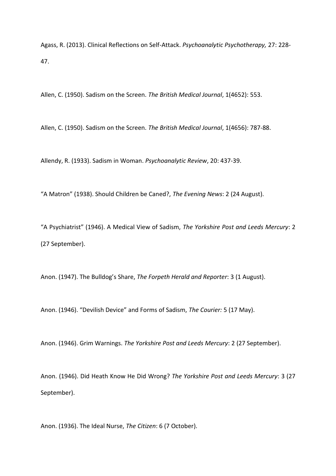Agass, R. (2013). Clinical Reflections on Self-Attack. *Psychoanalytic Psychotherapy,* 27: 228- 47.

Allen, C. (1950). Sadism on the Screen. *The British Medical Journal*, 1(4652): 553.

Allen, C. (1950). Sadism on the Screen. *The British Medical Journal*, 1(4656): 787-88.

Allendy, R. (1933). Sadism in Woman. *Psychoanalytic Review*, 20: 437-39.

"A Matron" (1938). Should Children be Caned?, *The Evening News*: 2 (24 August).

"A Psychiatrist" (1946). A Medical View of Sadism, *The Yorkshire Post and Leeds Mercury*: 2 (27 September).

Anon. (1947). The Bulldog's Share, *The Forpeth Herald and Reporter*: 3 (1 August).

Anon. (1946). "Devilish Device" and Forms of Sadism, *The Courier:* 5 (17 May).

Anon. (1946). Grim Warnings. *The Yorkshire Post and Leeds Mercury*: 2 (27 September).

Anon. (1946). Did Heath Know He Did Wrong? *The Yorkshire Post and Leeds Mercury*: 3 (27 September).

Anon. (1936). The Ideal Nurse, *The Citizen*: 6 (7 October).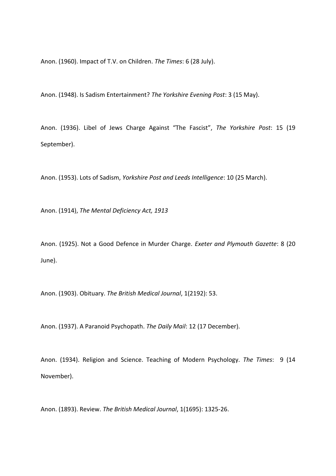Anon. (1960). Impact of T.V. on Children. *The Times*: 6 (28 July).

Anon. (1948). Is Sadism Entertainment? *The Yorkshire Evening Post*: 3 (15 May).

Anon. (1936). Libel of Jews Charge Against "The Fascist", *The Yorkshire Post*: 15 (19 September).

Anon. (1953). Lots of Sadism, *Yorkshire Post and Leeds Intelligence*: 10 (25 March).

Anon. (1914), *The Mental Deficiency Act, 1913*

Anon. (1925). Not a Good Defence in Murder Charge. *Exeter and Plymouth Gazette*: 8 (20 June).

Anon. (1903). Obituary. *The British Medical Journal*, 1(2192): 53.

Anon. (1937). A Paranoid Psychopath. *The Daily Mail*: 12 (17 December).

Anon. (1934). Religion and Science. Teaching of Modern Psychology. *The Times*: 9 (14 November).

Anon. (1893). Review. *The British Medical Journal*, 1(1695): 1325-26.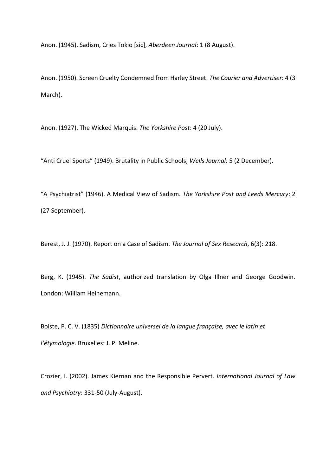Anon. (1945). Sadism, Cries Tokio [sic], *Aberdeen Journal*: 1 (8 August).

Anon. (1950). Screen Cruelty Condemned from Harley Street. *The Courier and Advertiser*: 4 (3 March).

Anon. (1927). The Wicked Marquis. *The Yorkshire Post*: 4 (20 July).

"Anti Cruel Sports" (1949). Brutality in Public Schools, *Wells Journal:* 5 (2 December).

"A Psychiatrist" (1946). A Medical View of Sadism. *The Yorkshire Post and Leeds Mercury*: 2 (27 September).

Berest, J. J. (1970). Report on a Case of Sadism. *The Journal of Sex Research*, 6(3): 218.

Berg, K. (1945). *The Sadist*, authorized translation by Olga Illner and George Goodwin. London: William Heinemann.

Boiste, P. C. V. (1835) *Dictionnaire universel de la langue française, avec le latin et l'étymologie*. Bruxelles: J. P. Meline.

Crozier, I. (2002). James Kiernan and the Responsible Pervert. *International Journal of Law and Psychiatry*: 331-50 (July-August).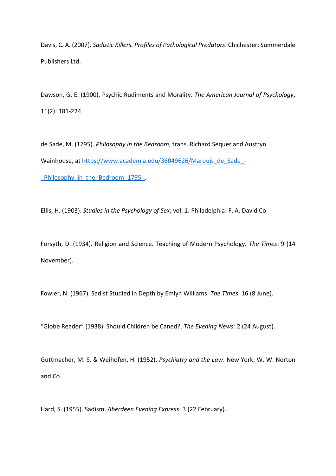Davis, C. A. (2007). *Sadistic Killers. Profiles of Pathological Predators*. Chichester: Summerdale Publishers Ltd.

Dawson, G. E. (1900). Psychic Rudiments and Morality. *The American Journal of Psychology*, 11(2): 181-224.

de Sade, M. (1795). *Philosophy in the Bedroom*, trans. Richard Sequer and Austryn Wainhouse, at [https://www.academia.edu/36049626/Marquis\\_de\\_Sade\\_-](https://www.academia.edu/36049626/Marquis_de_Sade_-_Philosophy_in_the_Bedroom_1795_) Philosophy in the Bedroom 1795.

Ellis, H. (1903). *Studies in the Psychology of Sex*, vol. 1. Philadelphia: F. A. David Co.

Forsyth, D. (1934). Religion and Science. Teaching of Modern Psychology. *The Times*: 9 (14 November).

Fowler, N. (1967). Sadist Studied in Depth by Emlyn Williams. *The Times*: 16 (8 June).

"Globe Reader" (1938). Should Children be Caned?, *The Evening News:* 2 (24 August).

Guttmacher, M. S. & Weihofen, H. (1952). *Psychiatry and the Law*. New York: W. W. Norton and Co.

Hard, S. (1955). Sadism. *Aberdeen Evening Express*: 3 (22 February).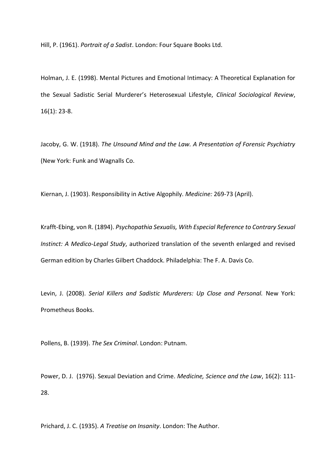Hill, P. (1961). *Portrait of a Sadist*. London: Four Square Books Ltd.

Holman, J. E. (1998). Mental Pictures and Emotional Intimacy: A Theoretical Explanation for the Sexual Sadistic Serial Murderer's Heterosexual Lifestyle, *Clinical Sociological Review*, 16(1): 23-8.

Jacoby, G. W. (1918). *The Unsound Mind and the Law. A Presentation of Forensic Psychiatry* (New York: Funk and Wagnalls Co.

Kiernan, J. (1903). Responsibility in Active Algophily. *Medicine:* 269-73 (April).

Krafft-Ebing, von R. (1894). *Psychopathia Sexualis, With Especial Reference to Contrary Sexual Instinct: A Medico-Legal Study*, authorized translation of the seventh enlarged and revised German edition by Charles Gilbert Chaddock. Philadelphia: The F. A. Davis Co.

Levin, J. (2008). *Serial Killers and Sadistic Murderers: Up Close and Personal.* New York: Prometheus Books.

Pollens, B. (1939). *The Sex Criminal*. London: Putnam.

Power, D. J. (1976). Sexual Deviation and Crime. *Medicine, Science and the Law*, 16(2): 111- 28.

Prichard, J. C. (1935). *A Treatise on Insanity*. London: The Author.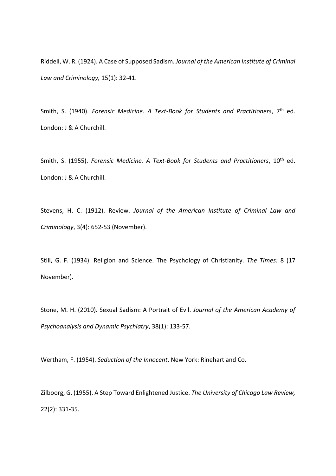Riddell, W. R. (1924). A Case of Supposed Sadism. *Journal of the American Institute of Criminal Law and Criminology,* 15(1): 32-41.

Smith, S. (1940). *Forensic Medicine. A Text-Book for Students and Practitioners*, 7th ed. London: J & A Churchill.

Smith, S. (1955). *Forensic Medicine. A Text-Book for Students and Practitioners*, 10<sup>th</sup> ed. London: J & A Churchill.

Stevens, H. C. (1912). Review. *Journal of the American Institute of Criminal Law and Criminology*, 3(4): 652-53 (November).

Still, G. F. (1934). Religion and Science. The Psychology of Christianity. *The Times:* 8 (17 November).

Stone, M. H. (2010). Sexual Sadism: A Portrait of Evil. *Journal of the American Academy of Psychoanalysis and Dynamic Psychiatry*, 38(1): 133-57.

Wertham, F. (1954). *Seduction of the Innocent*. New York: Rinehart and Co.

Zilboorg, G. (1955). A Step Toward Enlightened Justice. *The University of Chicago Law Review,*  22(2): 331-35.